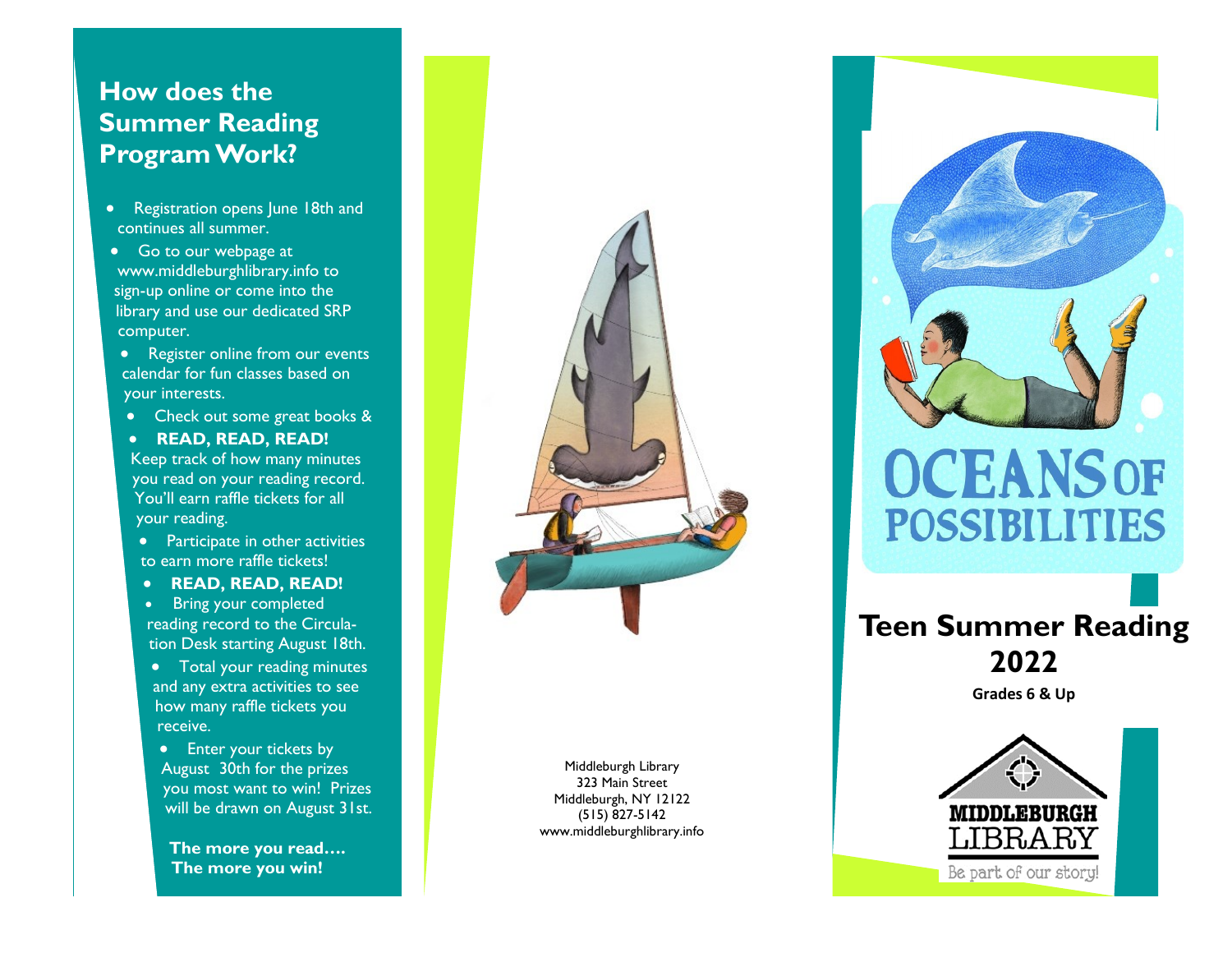# **How does the Summer Reading Program Work?**

- Registration opens June 18th and continues all summer.
- Go to our webpage at www.middleburghlibrary.info to sign -up online or come into the library and use our dedicated SRP computer.
- Register online from our events calendar for fun classes based on your interests.
- Check out some great books &
- **READ, READ, READ!** Keep track of how many minutes you read on your reading record. You'll earn raffle tickets for all
- your reading.
- Participate in other activities to earn more raffle tickets!
- **READ, READ, READ!**
- Bring your completed reading record to the Circulation Desk starting August 18th.
- Total your reading minutes and any extra activities to see how many raffle tickets you receive.
- Enter your tickets by August 30th for the prizes you most want to win! Prizes will be drawn on August 31st.

**The more you read…. The more you win!**

Middleburgh Library 323 Main Street Middleburgh, NY 12122 (515) 827 -5142 www.middleburghlibrary.info



# **Teen Summer Reading 2022**

**Grades 6 & Up**